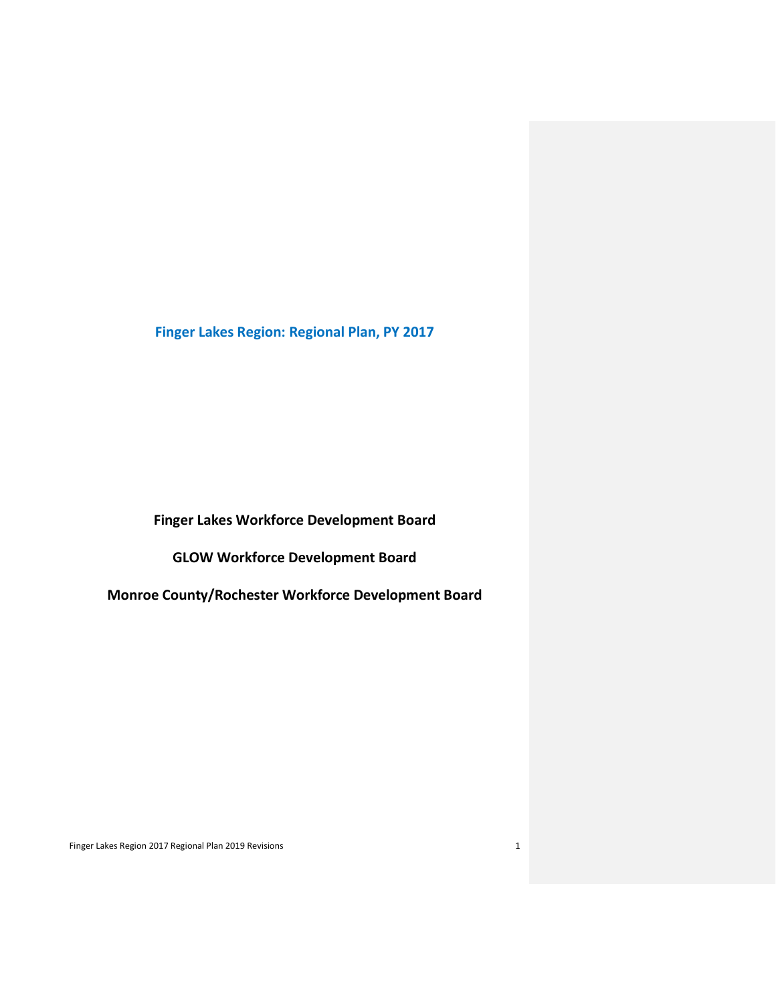**Finger Lakes Region: Regional Plan, PY 2017**

**Finger Lakes Workforce Development Board**

**GLOW Workforce Development Board**

**Monroe County/Rochester Workforce Development Board**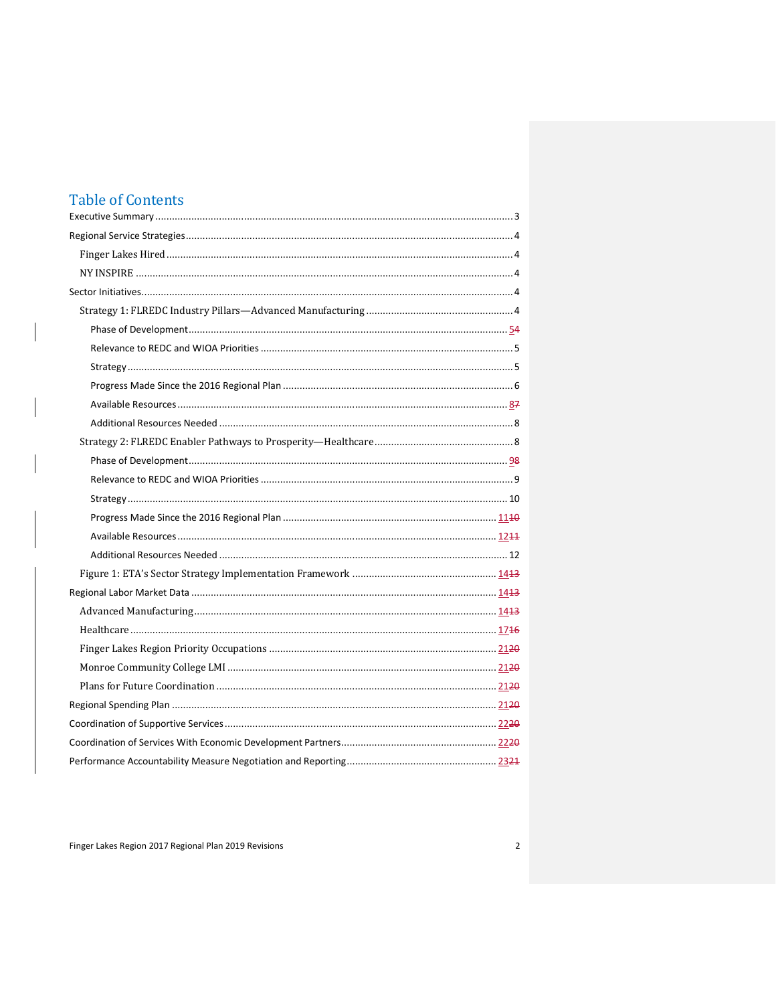# **Table of Contents**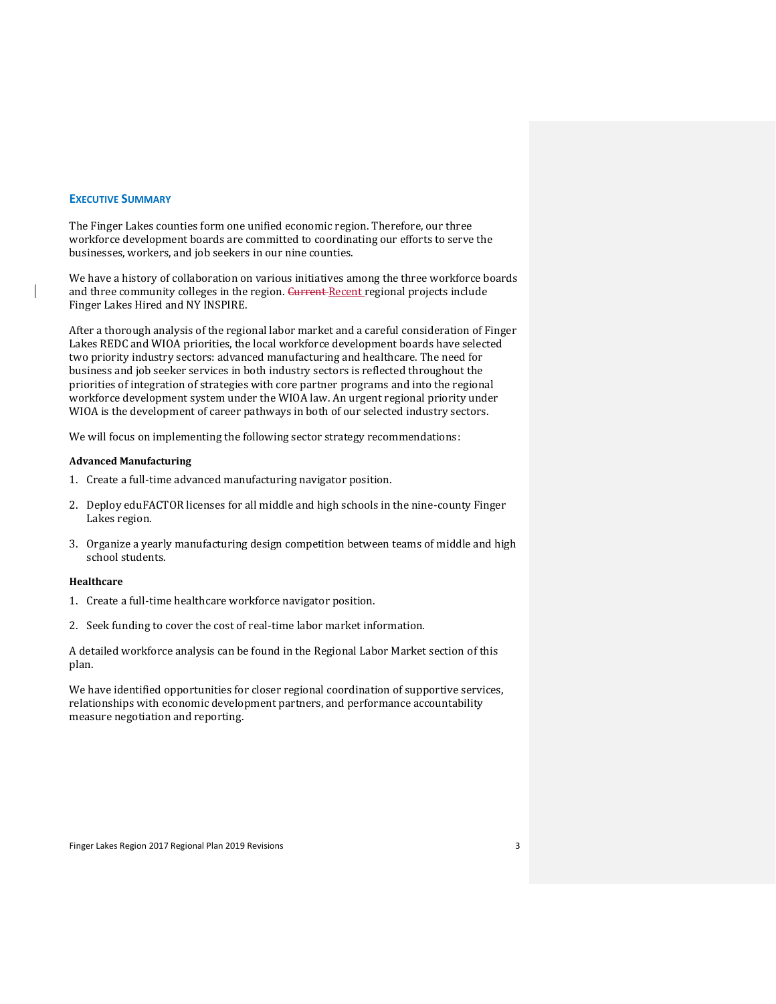# <span id="page-2-0"></span>**EXECUTIVE SUMMARY**

The Finger Lakes counties form one unified economic region. Therefore, our three workforce development boards are committed to coordinating our efforts to serve the businesses, workers, and job seekers in our nine counties.

We have a history of collaboration on various initiatives among the three workforce boards and three community colleges in the region. Gurrent Recent regional projects include Finger Lakes Hired and NY INSPIRE.

After a thorough analysis of the regional labor market and a careful consideration of Finger Lakes REDC and WIOA priorities, the local workforce development boards have selected two priority industry sectors: advanced manufacturing and healthcare. The need for business and job seeker services in both industry sectors is reflected throughout the priorities of integration of strategies with core partner programs and into the regional workforce development system under the WIOA law. An urgent regional priority under WIOA is the development of career pathways in both of our selected industry sectors.

We will focus on implementing the following sector strategy recommendations:

#### **Advanced Manufacturing**

- 1. Create a full-time advanced manufacturing navigator position.
- 2. Deploy eduFACTOR licenses for all middle and high schools in the nine-county Finger Lakes region.
- 3. Organize a yearly manufacturing design competition between teams of middle and high school students.

#### **Healthcare**

- 1. Create a full-time healthcare workforce navigator position.
- 2. Seek funding to cover the cost of real-time labor market information.

A detailed workforce analysis can be found in the Regional Labor Market section of this plan.

We have identified opportunities for closer regional coordination of supportive services, relationships with economic development partners, and performance accountability measure negotiation and reporting.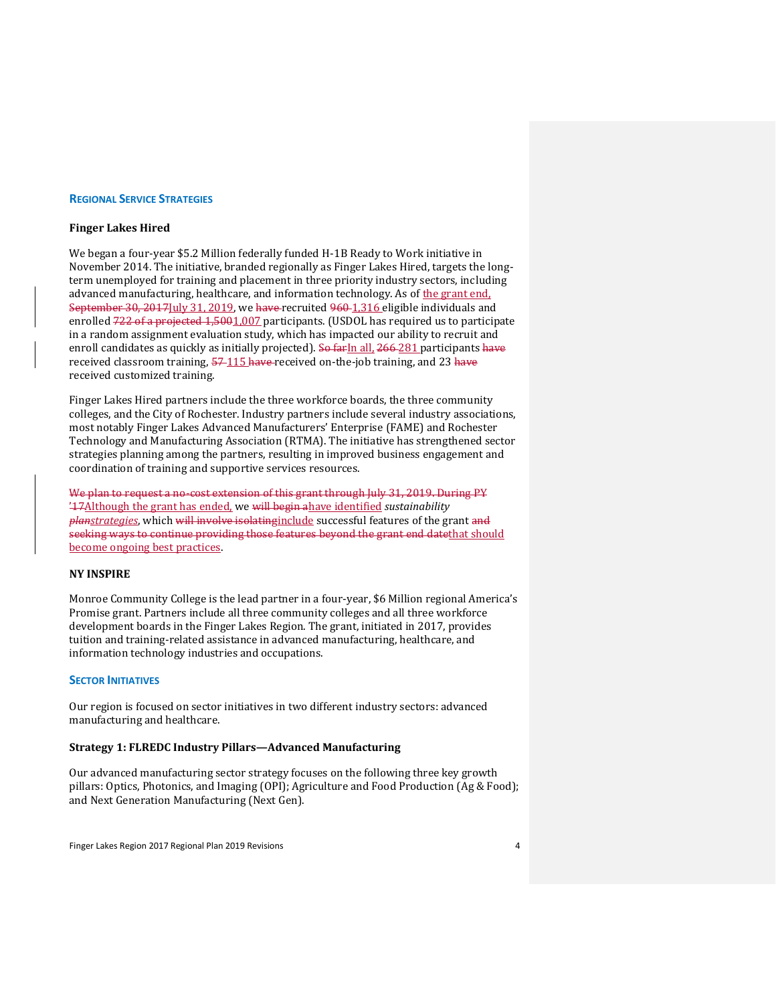#### <span id="page-3-0"></span>**REGIONAL SERVICE STRATEGIES**

# <span id="page-3-1"></span>**Finger Lakes Hired**

We began a four-year \$5.2 Million federally funded H-1B Ready to Work initiative in November 2014. The initiative, branded regionally as Finger Lakes Hired, targets the longterm unemployed for training and placement in three priority industry sectors, including advanced manufacturing, healthcare, and information technology. As of the grant end, September 30, 2017 July 31, 2019, we have recruited 960 1, 316 eligible individuals and enrolled 722 of a projected 1,5001,007 participants. (USDOL has required us to participate in a random assignment evaluation study, which has impacted our ability to recruit and enroll candidates as quickly as initially projected). So far In all, 266-281 participants have received classroom training, 57-115 have received on-the-job training, and 23 have received customized training.

Finger Lakes Hired partners include the three workforce boards, the three community colleges, and the City of Rochester. Industry partners include several industry associations, most notably Finger Lakes Advanced Manufacturers' Enterprise (FAME) and Rochester Technology and Manufacturing Association (RTMA). The initiative has strengthened sector strategies planning among the partners, resulting in improved business engagement and coordination of training and supportive services resources.

We plan to request a no-cost extension of this grant through July 31, 2019. During PY '17Although the grant has ended, we will begin ahave identified *sustainability planstrategies*, which will involve isolatinginclude successful features of the grant and seeking ways to continue providing those features beyond the grant end datethat should become ongoing best practices.

# <span id="page-3-2"></span>**NY INSPIRE**

Monroe Community College is the lead partner in a four-year, \$6 Million regional America's Promise grant. Partners include all three community colleges and all three workforce development boards in the Finger Lakes Region. The grant, initiated in 2017, provides tuition and training-related assistance in advanced manufacturing, healthcare, and information technology industries and occupations.

# <span id="page-3-3"></span>**SECTOR INITIATIVES**

Our region is focused on sector initiatives in two different industry sectors: advanced manufacturing and healthcare.

# <span id="page-3-4"></span>**Strategy 1: FLREDC Industry Pillars—Advanced Manufacturing**

Our advanced manufacturing sector strategy focuses on the following three key growth pillars: Optics, Photonics, and Imaging (OPI); Agriculture and Food Production (Ag & Food); and Next Generation Manufacturing (Next Gen).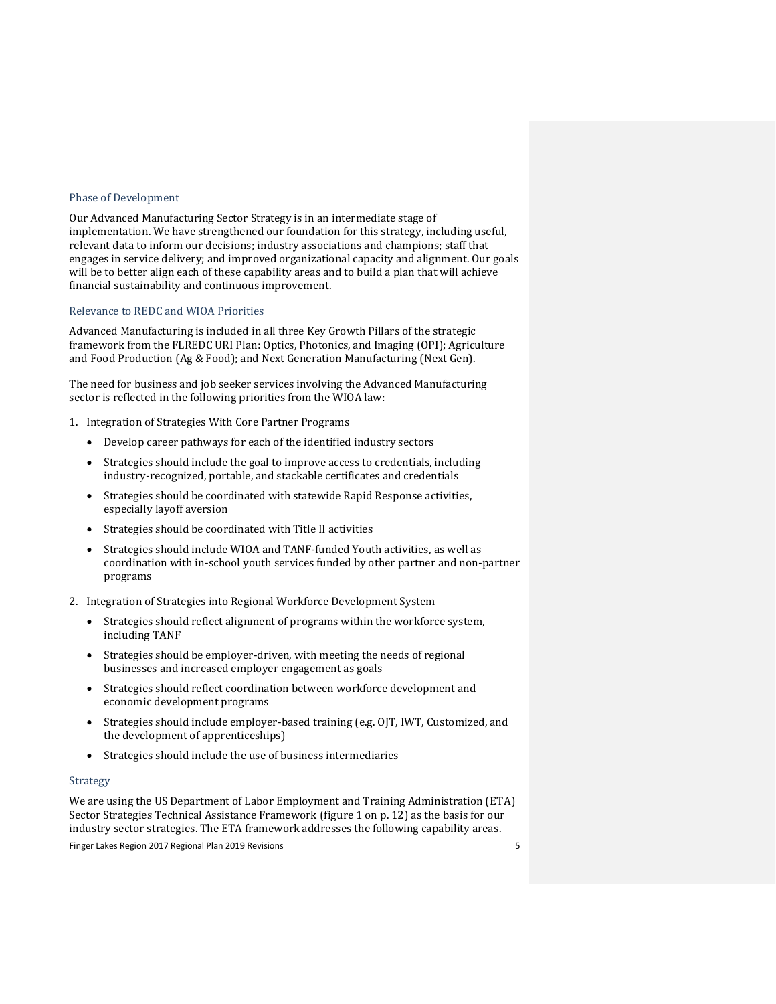# <span id="page-4-0"></span>Phase of Development

Our Advanced Manufacturing Sector Strategy is in an intermediate stage of implementation. We have strengthened our foundation for this strategy, including useful, relevant data to inform our decisions; industry associations and champions; staff that engages in service delivery; and improved organizational capacity and alignment. Our goals will be to better align each of these capability areas and to build a plan that will achieve financial sustainability and continuous improvement.

#### <span id="page-4-1"></span>Relevance to REDC and WIOA Priorities

Advanced Manufacturing is included in all three Key Growth Pillars of the strategic framework from the FLREDC URI Plan: Optics, Photonics, and Imaging (OPI); Agriculture and Food Production (Ag & Food); and Next Generation Manufacturing (Next Gen).

The need for business and job seeker services involving the Advanced Manufacturing sector is reflected in the following priorities from the WIOA law:

- 1. Integration of Strategies With Core Partner Programs
	- Develop career pathways for each of the identified industry sectors
	- Strategies should include the goal to improve access to credentials, including industry-recognized, portable, and stackable certificates and credentials
	- Strategies should be coordinated with statewide Rapid Response activities, especially layoff aversion
	- Strategies should be coordinated with Title II activities
	- Strategies should include WIOA and TANF-funded Youth activities, as well as coordination with in-school youth services funded by other partner and non-partner programs
- 2. Integration of Strategies into Regional Workforce Development System
	- Strategies should reflect alignment of programs within the workforce system, including TANF
	- Strategies should be employer-driven, with meeting the needs of regional businesses and increased employer engagement as goals
	- Strategies should reflect coordination between workforce development and economic development programs
	- Strategies should include employer-based training (e.g. OJT, IWT, Customized, and the development of apprenticeships)
	- Strategies should include the use of business intermediaries

# <span id="page-4-2"></span>Strategy

We are using the US Department of Labor Employment and Training Administration (ETA) Sector Strategies Technical Assistance Framework (figure 1 on p. 12) as the basis for our industry sector strategies. The ETA framework addresses the following capability areas.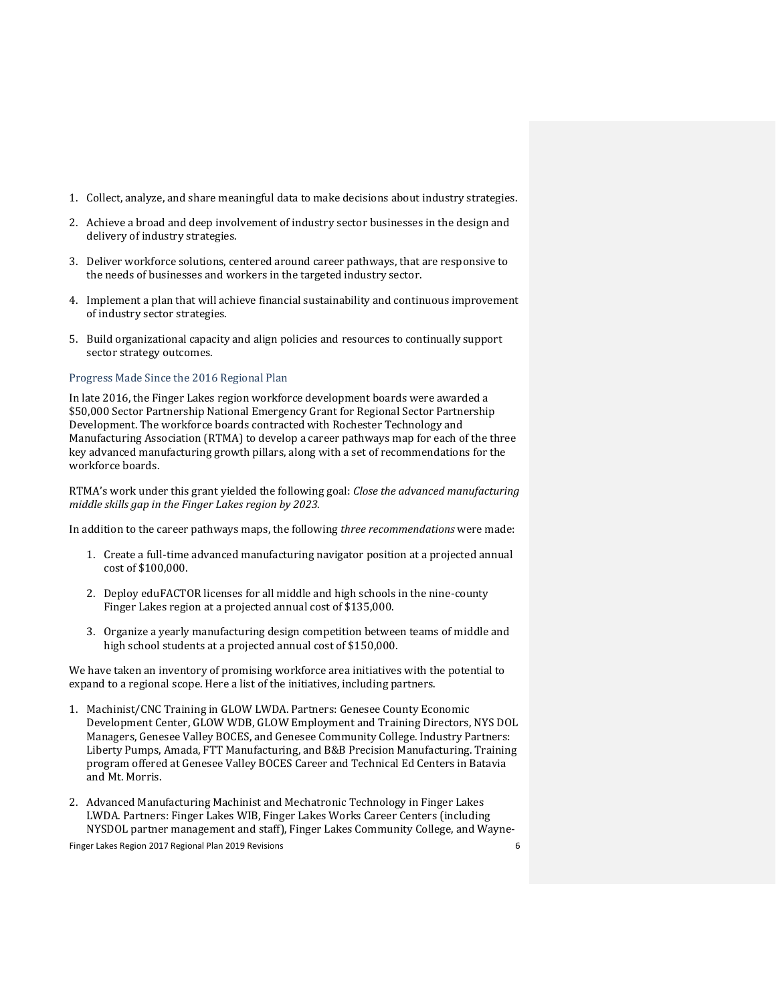- 1. Collect, analyze, and share meaningful data to make decisions about industry strategies.
- 2. Achieve a broad and deep involvement of industry sector businesses in the design and delivery of industry strategies.
- 3. Deliver workforce solutions, centered around career pathways, that are responsive to the needs of businesses and workers in the targeted industry sector.
- 4. Implement a plan that will achieve financial sustainability and continuous improvement of industry sector strategies.
- 5. Build organizational capacity and align policies and resources to continually support sector strategy outcomes.

# <span id="page-5-0"></span>Progress Made Since the 2016 Regional Plan

In late 2016, the Finger Lakes region workforce development boards were awarded a \$50,000 Sector Partnership National Emergency Grant for Regional Sector Partnership Development. The workforce boards contracted with Rochester Technology and Manufacturing Association (RTMA) to develop a career pathways map for each of the three key advanced manufacturing growth pillars, along with a set of recommendations for the workforce boards.

RTMA's work under this grant yielded the following goal: *Close the advanced manufacturing middle skills gap in the Finger Lakes region by 2023*.

In addition to the career pathways maps, the following *three recommendations* were made:

- 1. Create a full-time advanced manufacturing navigator position at a projected annual cost of \$100,000.
- 2. Deploy eduFACTOR licenses for all middle and high schools in the nine-county Finger Lakes region at a projected annual cost of \$135,000.
- 3. Organize a yearly manufacturing design competition between teams of middle and high school students at a projected annual cost of \$150,000.

We have taken an inventory of promising workforce area initiatives with the potential to expand to a regional scope. Here a list of the initiatives, including partners.

- 1. Machinist/CNC Training in GLOW LWDA. Partners: Genesee County Economic Development Center, GLOW WDB, GLOW Employment and Training Directors, NYS DOL Managers, Genesee Valley BOCES, and Genesee Community College. Industry Partners: Liberty Pumps, Amada, FTT Manufacturing, and B&B Precision Manufacturing. Training program offered at Genesee Valley BOCES Career and Technical Ed Centers in Batavia and Mt. Morris.
- 2. Advanced Manufacturing Machinist and Mechatronic Technology in Finger Lakes LWDA. Partners: Finger Lakes WIB, Finger Lakes Works Career Centers (including NYSDOL partner management and staff), Finger Lakes Community College, and Wayne-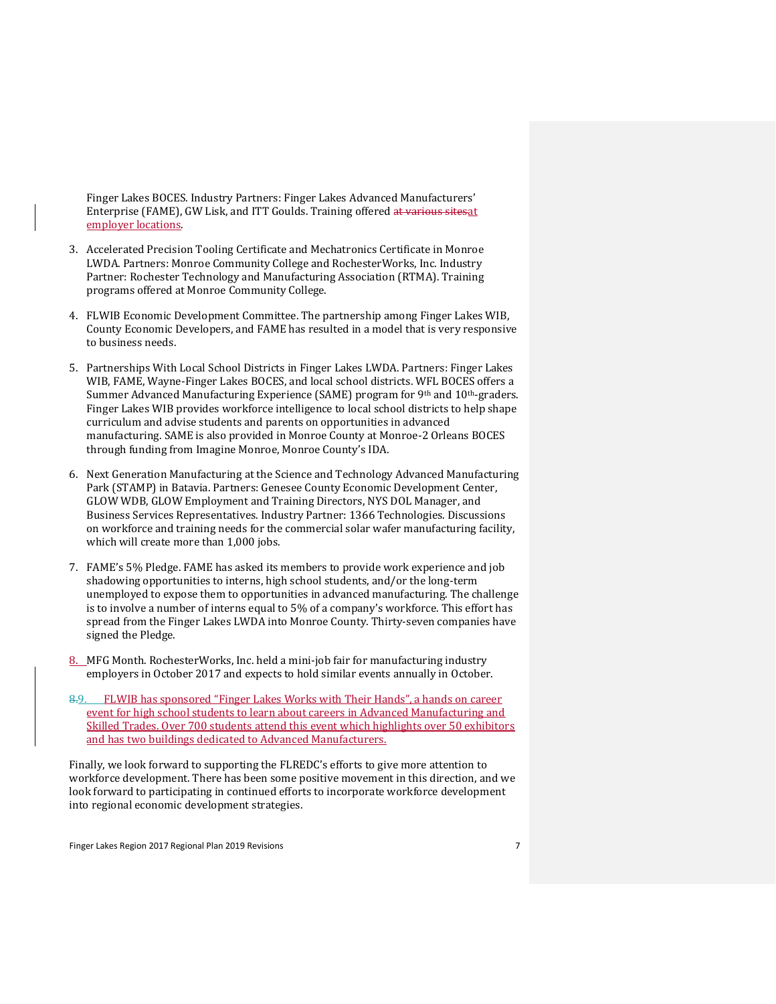Finger Lakes BOCES. Industry Partners: Finger Lakes Advanced Manufacturers' Enterprise (FAME), GW Lisk, and ITT Goulds. Training offered at various sitesat employer locations.

- 3. Accelerated Precision Tooling Certificate and Mechatronics Certificate in Monroe LWDA. Partners: Monroe Community College and RochesterWorks, Inc. Industry Partner: Rochester Technology and Manufacturing Association (RTMA). Training programs offered at Monroe Community College.
- 4. FLWIB Economic Development Committee. The partnership among Finger Lakes WIB, County Economic Developers, and FAME has resulted in a model that is very responsive to business needs.
- 5. Partnerships With Local School Districts in Finger Lakes LWDA. Partners: Finger Lakes WIB, FAME, Wayne-Finger Lakes BOCES, and local school districts. WFL BOCES offers a Summer Advanced Manufacturing Experience (SAME) program for 9<sup>th</sup> and 10<sup>th</sup>-graders. Finger Lakes WIB provides workforce intelligence to local school districts to help shape curriculum and advise students and parents on opportunities in advanced manufacturing. SAME is also provided in Monroe County at Monroe-2 Orleans BOCES through funding from Imagine Monroe, Monroe County's IDA.
- 6. Next Generation Manufacturing at the Science and Technology Advanced Manufacturing Park (STAMP) in Batavia. Partners: Genesee County Economic Development Center, GLOW WDB, GLOW Employment and Training Directors, NYS DOL Manager, and Business Services Representatives. Industry Partner: 1366 Technologies. Discussions on workforce and training needs for the commercial solar wafer manufacturing facility, which will create more than 1,000 jobs.
- 7. FAME's 5% Pledge. FAME has asked its members to provide work experience and job shadowing opportunities to interns, high school students, and/or the long-term unemployed to expose them to opportunities in advanced manufacturing. The challenge is to involve a number of interns equal to 5% of a company's workforce. This effort has spread from the Finger Lakes LWDA into Monroe County. Thirty-seven companies have signed the Pledge.
- 8. MFG Month. RochesterWorks, Inc. held a mini-job fair for manufacturing industry employers in October 2017 and expects to hold similar events annually in October.
- 8.9. FLWIB has sponsored "Finger Lakes Works with Their Hands", a hands on career event for high school students to learn about careers in Advanced Manufacturing and Skilled Trades. Over 700 students attend this event which highlights over 50 exhibitors and has two buildings dedicated to Advanced Manufacturers.

Finally, we look forward to supporting the FLREDC's efforts to give more attention to workforce development. There has been some positive movement in this direction, and we look forward to participating in continued efforts to incorporate workforce development into regional economic development strategies.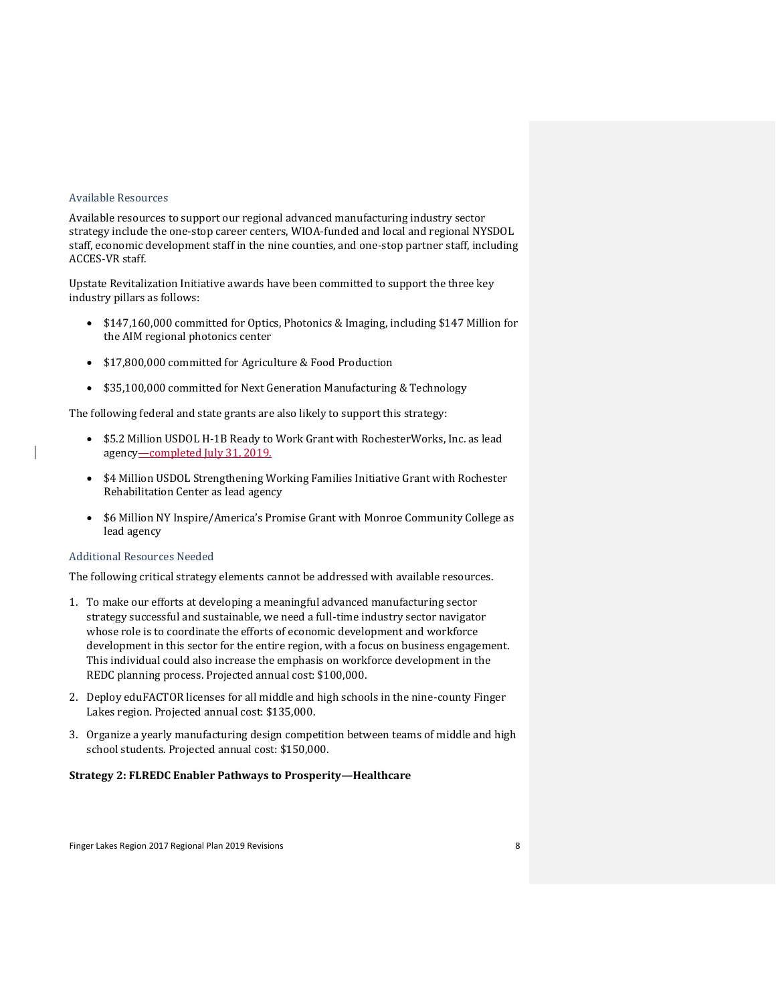# <span id="page-7-0"></span>Available Resources

Available resources to support our regional advanced manufacturing industry sector strategy include the one-stop career centers, WIOA-funded and local and regional NYSDOL staff, economic development staff in the nine counties, and one-stop partner staff, including ACCES-VR staff.

Upstate Revitalization Initiative awards have been committed to support the three key industry pillars as follows:

- \$147,160,000 committed for Optics, Photonics & Imaging, including \$147 Million for the AIM regional photonics center
- \$17,800,000 committed for Agriculture & Food Production
- \$35,100,000 committed for Next Generation Manufacturing & Technology

The following federal and state grants are also likely to support this strategy:

- \$5.2 Million USDOL H-1B Ready to Work Grant with RochesterWorks, Inc. as lead agency—completed July 31, 2019.
- \$4 Million USDOL Strengthening Working Families Initiative Grant with Rochester Rehabilitation Center as lead agency
- \$6 Million NY Inspire/America's Promise Grant with Monroe Community College as lead agency

# <span id="page-7-1"></span>Additional Resources Needed

The following critical strategy elements cannot be addressed with available resources.

- 1. To make our efforts at developing a meaningful advanced manufacturing sector strategy successful and sustainable, we need a full-time industry sector navigator whose role is to coordinate the efforts of economic development and workforce development in this sector for the entire region, with a focus on business engagement. This individual could also increase the emphasis on workforce development in the REDC planning process. Projected annual cost: \$100,000.
- 2. Deploy eduFACTOR licenses for all middle and high schools in the nine-county Finger Lakes region. Projected annual cost: \$135,000.
- 3. Organize a yearly manufacturing design competition between teams of middle and high school students. Projected annual cost: \$150,000.

# <span id="page-7-2"></span>**Strategy 2: FLREDC Enabler Pathways to Prosperity—Healthcare**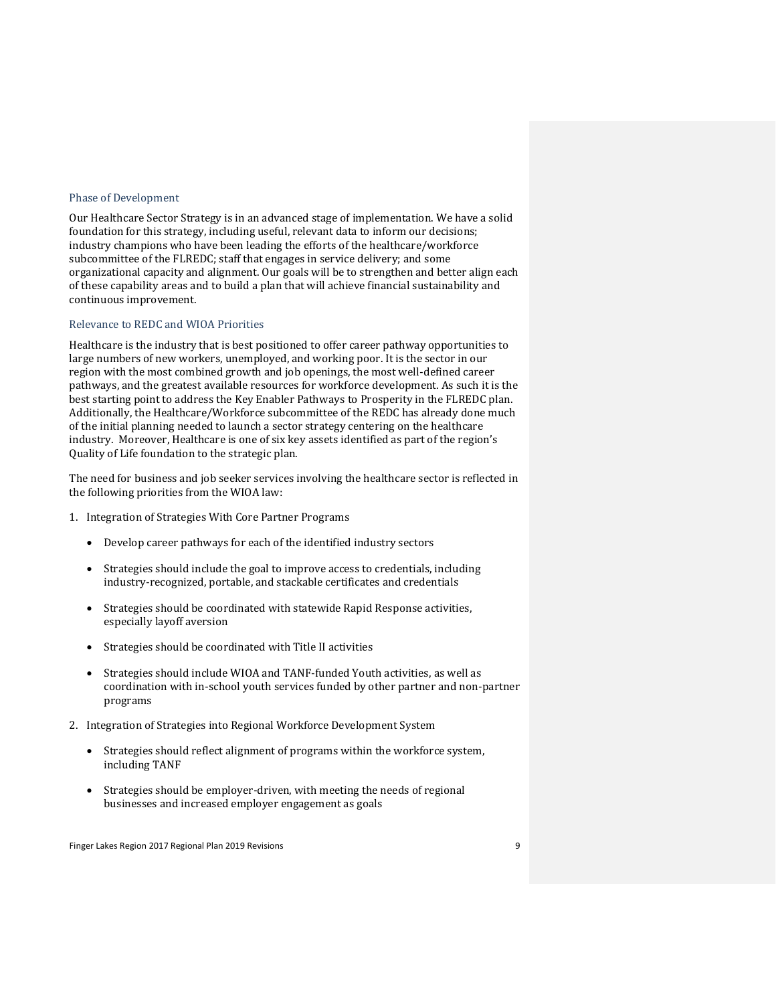# <span id="page-8-0"></span>Phase of Development

Our Healthcare Sector Strategy is in an advanced stage of implementation. We have a solid foundation for this strategy, including useful, relevant data to inform our decisions; industry champions who have been leading the efforts of the healthcare/workforce subcommittee of the FLREDC; staff that engages in service delivery; and some organizational capacity and alignment. Our goals will be to strengthen and better align each of these capability areas and to build a plan that will achieve financial sustainability and continuous improvement.

# <span id="page-8-1"></span>Relevance to REDC and WIOA Priorities

Healthcare is the industry that is best positioned to offer career pathway opportunities to large numbers of new workers, unemployed, and working poor. It is the sector in our region with the most combined growth and job openings, the most well-defined career pathways, and the greatest available resources for workforce development. As such it is the best starting point to address the Key Enabler Pathways to Prosperity in the FLREDC plan. Additionally, the Healthcare/Workforce subcommittee of the REDC has already done much of the initial planning needed to launch a sector strategy centering on the healthcare industry. Moreover, Healthcare is one of six key assets identified as part of the region's Quality of Life foundation to the strategic plan.

The need for business and job seeker services involving the healthcare sector is reflected in the following priorities from the WIOA law:

- 1. Integration of Strategies With Core Partner Programs
	- Develop career pathways for each of the identified industry sectors
	- Strategies should include the goal to improve access to credentials, including industry-recognized, portable, and stackable certificates and credentials
	- Strategies should be coordinated with statewide Rapid Response activities, especially layoff aversion
	- Strategies should be coordinated with Title II activities
	- Strategies should include WIOA and TANF-funded Youth activities, as well as coordination with in-school youth services funded by other partner and non-partner programs
- 2. Integration of Strategies into Regional Workforce Development System
	- Strategies should reflect alignment of programs within the workforce system, including TANF
	- Strategies should be employer-driven, with meeting the needs of regional businesses and increased employer engagement as goals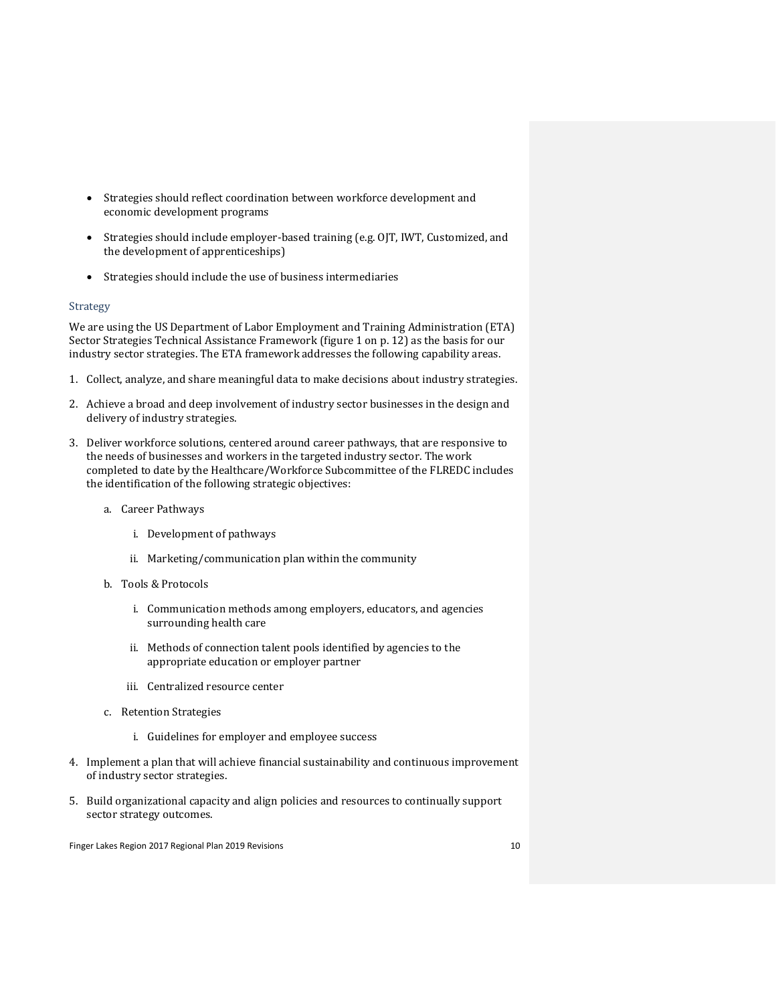- Strategies should reflect coordination between workforce development and economic development programs
- Strategies should include employer-based training (e.g. OJT, IWT, Customized, and the development of apprenticeships)
- Strategies should include the use of business intermediaries

# <span id="page-9-0"></span>Strategy

We are using the US Department of Labor Employment and Training Administration (ETA) Sector Strategies Technical Assistance Framework (figure 1 on p. 12) as the basis for our industry sector strategies. The ETA framework addresses the following capability areas.

- 1. Collect, analyze, and share meaningful data to make decisions about industry strategies.
- 2. Achieve a broad and deep involvement of industry sector businesses in the design and delivery of industry strategies.
- 3. Deliver workforce solutions, centered around career pathways, that are responsive to the needs of businesses and workers in the targeted industry sector. The work completed to date by the Healthcare/Workforce Subcommittee of the FLREDC includes the identification of the following strategic objectives:
	- a. Career Pathways
		- i. Development of pathways
		- ii. Marketing/communication plan within the community
	- b. Tools & Protocols
		- i. Communication methods among employers, educators, and agencies surrounding health care
		- ii. Methods of connection talent pools identified by agencies to the appropriate education or employer partner
		- iii. Centralized resource center
	- c. Retention Strategies
		- i. Guidelines for employer and employee success
- 4. Implement a plan that will achieve financial sustainability and continuous improvement of industry sector strategies.
- 5. Build organizational capacity and align policies and resources to continually support sector strategy outcomes.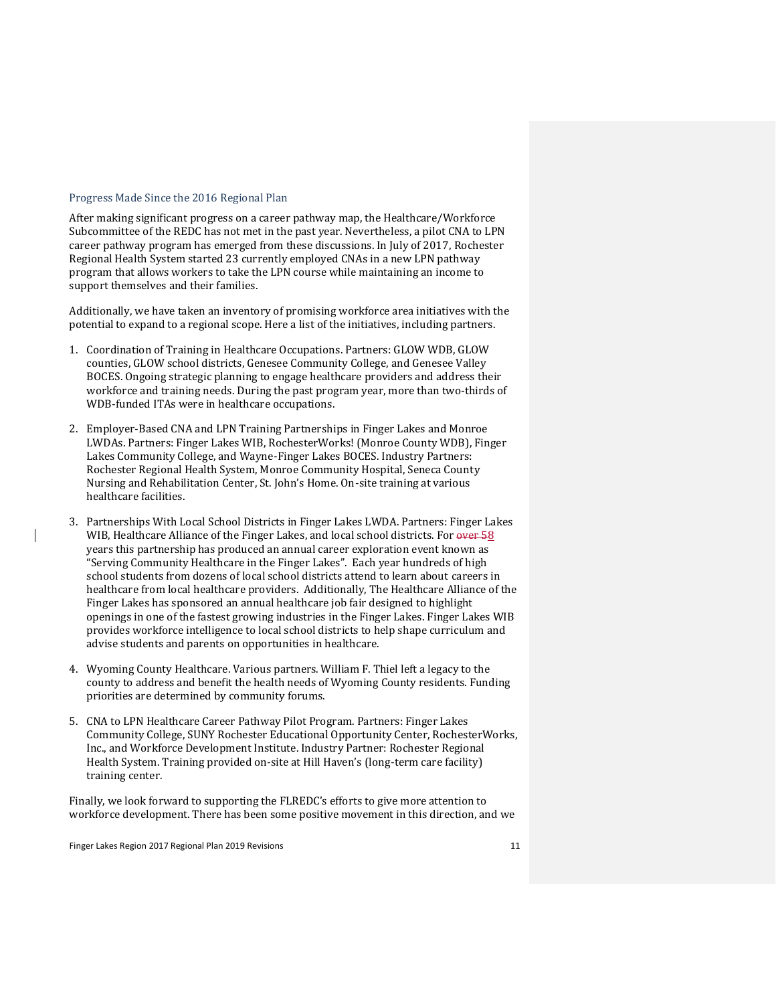#### <span id="page-10-0"></span>Progress Made Since the 2016 Regional Plan

After making significant progress on a career pathway map, the Healthcare/Workforce Subcommittee of the REDC has not met in the past year. Nevertheless, a pilot CNA to LPN career pathway program has emerged from these discussions. In July of 2017, Rochester Regional Health System started 23 currently employed CNAs in a new LPN pathway program that allows workers to take the LPN course while maintaining an income to support themselves and their families.

Additionally, we have taken an inventory of promising workforce area initiatives with the potential to expand to a regional scope. Here a list of the initiatives, including partners.

- 1. Coordination of Training in Healthcare Occupations. Partners: GLOW WDB, GLOW counties, GLOW school districts, Genesee Community College, and Genesee Valley BOCES. Ongoing strategic planning to engage healthcare providers and address their workforce and training needs. During the past program year, more than two-thirds of WDB-funded ITAs were in healthcare occupations.
- 2. Employer-Based CNA and LPN Training Partnerships in Finger Lakes and Monroe LWDAs. Partners: Finger Lakes WIB, RochesterWorks! (Monroe County WDB), Finger Lakes Community College, and Wayne-Finger Lakes BOCES. Industry Partners: Rochester Regional Health System, Monroe Community Hospital, Seneca County Nursing and Rehabilitation Center, St. John's Home. On-site training at various healthcare facilities.
- 3. Partnerships With Local School Districts in Finger Lakes LWDA. Partners: Finger Lakes WIB, Healthcare Alliance of the Finger Lakes, and local school districts. For over 58 years this partnership has produced an annual career exploration event known as "Serving Community Healthcare in the Finger Lakes". Each year hundreds of high school students from dozens of local school districts attend to learn about careers in healthcare from local healthcare providers. Additionally, The Healthcare Alliance of the Finger Lakes has sponsored an annual healthcare job fair designed to highlight openings in one of the fastest growing industries in the Finger Lakes. Finger Lakes WIB provides workforce intelligence to local school districts to help shape curriculum and advise students and parents on opportunities in healthcare.
- 4. Wyoming County Healthcare. Various partners. William F. Thiel left a legacy to the county to address and benefit the health needs of Wyoming County residents. Funding priorities are determined by community forums.
- 5. CNA to LPN Healthcare Career Pathway Pilot Program. Partners: Finger Lakes Community College, SUNY Rochester Educational Opportunity Center, RochesterWorks, Inc., and Workforce Development Institute. Industry Partner: Rochester Regional Health System. Training provided on-site at Hill Haven's (long-term care facility) training center.

Finally, we look forward to supporting the FLREDC's efforts to give more attention to workforce development. There has been some positive movement in this direction, and we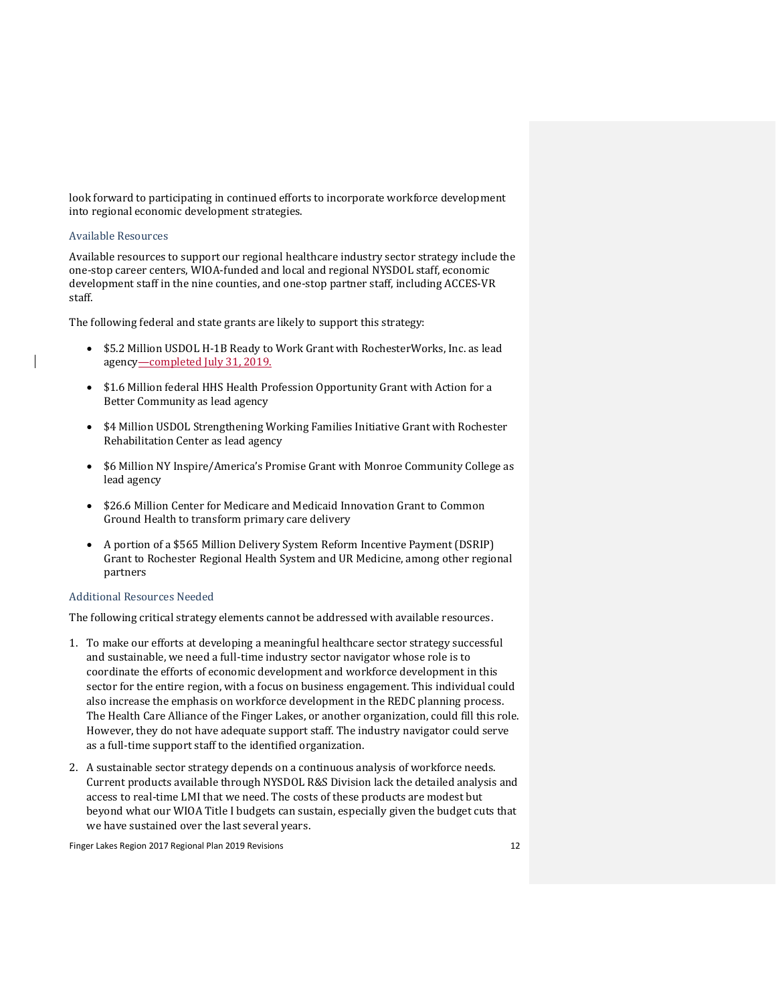look forward to participating in continued efforts to incorporate workforce development into regional economic development strategies.

# <span id="page-11-0"></span>Available Resources

Available resources to support our regional healthcare industry sector strategy include the one-stop career centers, WIOA-funded and local and regional NYSDOL staff, economic development staff in the nine counties, and one-stop partner staff, including ACCES-VR staff.

The following federal and state grants are likely to support this strategy:

- \$5.2 Million USDOL H-1B Ready to Work Grant with RochesterWorks, Inc. as lead agency—completed July 31, 2019.
- \$1.6 Million federal HHS Health Profession Opportunity Grant with Action for a Better Community as lead agency
- \$4 Million USDOL Strengthening Working Families Initiative Grant with Rochester Rehabilitation Center as lead agency
- \$6 Million NY Inspire/America's Promise Grant with Monroe Community College as lead agency
- \$26.6 Million Center for Medicare and Medicaid Innovation Grant to Common Ground Health to transform primary care delivery
- A portion of a \$565 Million Delivery System Reform Incentive Payment (DSRIP) Grant to Rochester Regional Health System and UR Medicine, among other regional partners

# <span id="page-11-1"></span>Additional Resources Needed

The following critical strategy elements cannot be addressed with available resources.

- 1. To make our efforts at developing a meaningful healthcare sector strategy successful and sustainable, we need a full-time industry sector navigator whose role is to coordinate the efforts of economic development and workforce development in this sector for the entire region, with a focus on business engagement. This individual could also increase the emphasis on workforce development in the REDC planning process. The Health Care Alliance of the Finger Lakes, or another organization, could fill this role. However, they do not have adequate support staff. The industry navigator could serve as a full-time support staff to the identified organization.
- 2. A sustainable sector strategy depends on a continuous analysis of workforce needs. Current products available through NYSDOL R&S Division lack the detailed analysis and access to real-time LMI that we need. The costs of these products are modest but beyond what our WIOA Title I budgets can sustain, especially given the budget cuts that we have sustained over the last several years.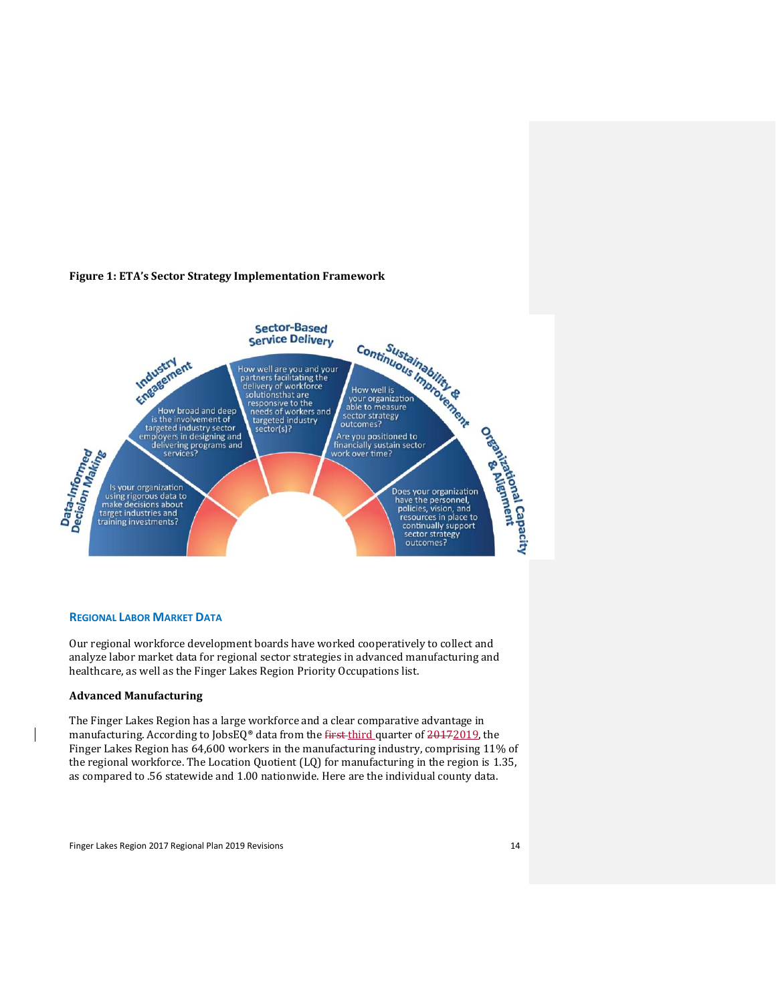# <span id="page-13-0"></span>**Figure 1: ETA's Sector Strategy Implementation Framework**



# <span id="page-13-1"></span>**REGIONAL LABOR MARKET DATA**

Our regional workforce development boards have worked cooperatively to collect and analyze labor market data for regional sector strategies in advanced manufacturing and healthcare, as well as the Finger Lakes Region Priority Occupations list.

# <span id="page-13-2"></span>**Advanced Manufacturing**

The Finger Lakes Region has a large workforce and a clear comparative advantage in manufacturing. According to JobsEQ® data from the first third quarter of 20172019, the Finger Lakes Region has 64,600 workers in the manufacturing industry, comprising 11% of the regional workforce. The Location Quotient (LQ) for manufacturing in the region is 1.35, as compared to .56 statewide and 1.00 nationwide. Here are the individual county data.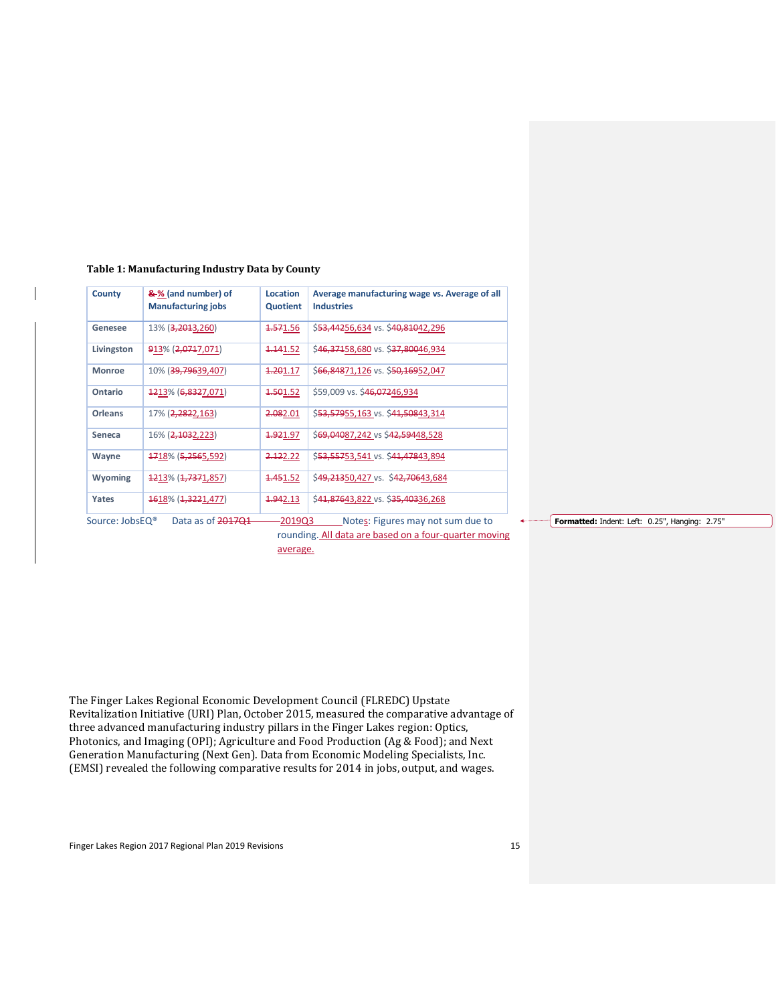| County                      | &% (and number) of<br><b>Manufacturing jobs</b> | <b>Location</b><br>Quotient | Average manufacturing wage vs. Average of all<br><b>Industries</b> |
|-----------------------------|-------------------------------------------------|-----------------------------|--------------------------------------------------------------------|
| Genesee                     | 13% ( <del>3,201</del> 3,260)                   | <del>1.57</del> 1.56        | \$ <del>53,442</del> 56,634 vs. \$40,81042,296                     |
| Livingston                  | 913% (2,0717,071)                               | <del>1.14</del> 1.52        | \$46,37158,680 vs. \$37,80046,934                                  |
| <b>Monroe</b>               | 10% ( <del>39,796</del> 39,407)                 | <del>1.20</del> 1.17        | \$66,84871,126 vs. \$50,16952,047                                  |
| Ontario                     | 4213% (6,8327,071)                              | <del>1.50</del> 1.52        | \$59,009 vs. \$46,07246,934                                        |
| <b>Orleans</b>              | 17% ( <del>2,282</del> 2,163)                   | <del>2.08</del> 2.01        | \$ <del>53,579</del> 55,163 vs. \$41,50843,314                     |
| Seneca                      | 16% (2,1032,223)                                | <del>1.92</del> 1.97        | \$69,04087,242 vs \$42,59448,528                                   |
| Wayne                       | <b>4718% (5,2565,592)</b>                       | <del>2.12</del> 2.22        | \$ <del>53,557</del> 53,541 vs. \$41,47843,894                     |
| <b>Wyoming</b>              | 4213% (4,7371,857)                              | <del>1.45</del> 1.52        | \$49,21350,427 vs. \$42,70643,684                                  |
| Yates                       | <del>16</del> 18% ( <del>1,322</del> 1,477)     | <del>1.94</del> 2.13        | \$41,87643,822 vs. \$35,40336,268                                  |
| Source: JobsEQ <sup>®</sup> | Data as of 201701                               | -2019Q3                     | Notes: Figures may not sum due to                                  |

# **Table 1: Manufacturing Industry Data by County**

rounding. All data are based on a four-quarter moving average.

**Formatted:** Indent: Left: 0.25", Hanging: 2.75"

The Finger Lakes Regional Economic Development Council (FLREDC) Upstate Revitalization Initiative (URI) Plan, October 2015, measured the comparative advantage of three advanced manufacturing industry pillars in the Finger Lakes region: Optics, Photonics, and Imaging (OPI); Agriculture and Food Production (Ag & Food); and Next Generation Manufacturing (Next Gen). Data from Economic Modeling Specialists, Inc. (EMSI) revealed the following comparative results for 2014 in jobs, output, and wages.

Finger Lakes Region 2017 Regional Plan 2019 Revisions 15 15 15 16 16 17 18 18 19 19 19 19 19 19 19 19 19 19 19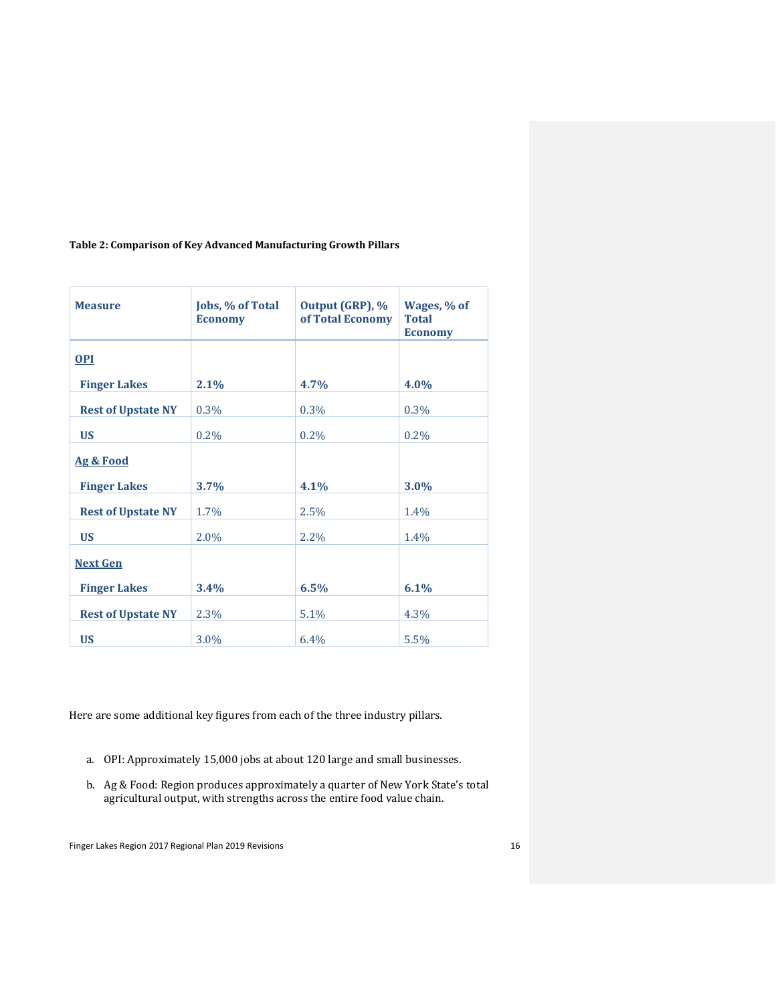# **Table 2: Comparison of Key Advanced Manufacturing Growth Pillars**

| <b>Measure</b>            | Jobs, % of Total<br><b>Economy</b> | Output (GRP), %<br>of Total Economy | Wages, % of<br><b>Total</b><br><b>Economy</b> |
|---------------------------|------------------------------------|-------------------------------------|-----------------------------------------------|
| $OPI$                     |                                    |                                     |                                               |
| <b>Finger Lakes</b>       | 2.1%                               | 4.7%                                | 4.0%                                          |
| <b>Rest of Upstate NY</b> | 0.3%                               | 0.3%                                | 0.3%                                          |
| <b>US</b>                 | $0.2\%$                            | $0.2\%$                             | $0.2\%$                                       |
| Ag & Food                 |                                    |                                     |                                               |
| <b>Finger Lakes</b>       | 3.7%                               | 4.1%                                | $3.0\%$                                       |
| <b>Rest of Upstate NY</b> | 1.7%                               | 2.5%                                | $1.4\%$                                       |
| <b>US</b>                 | $2.0\%$                            | $2.2\%$                             | 1.4%                                          |
| <b>Next Gen</b>           |                                    |                                     |                                               |
| <b>Finger Lakes</b>       | 3.4%                               | 6.5%                                | 6.1%                                          |
| <b>Rest of Upstate NY</b> | 2.3%                               | 5.1%                                | 4.3%                                          |
| <b>US</b>                 | 3.0%                               | 6.4%                                | 5.5%                                          |

Here are some additional key figures from each of the three industry pillars.

- a. OPI: Approximately 15,000 jobs at about 120 large and small businesses.
- b. Ag & Food: Region produces approximately a quarter of New York State's total agricultural output, with strengths across the entire food value chain.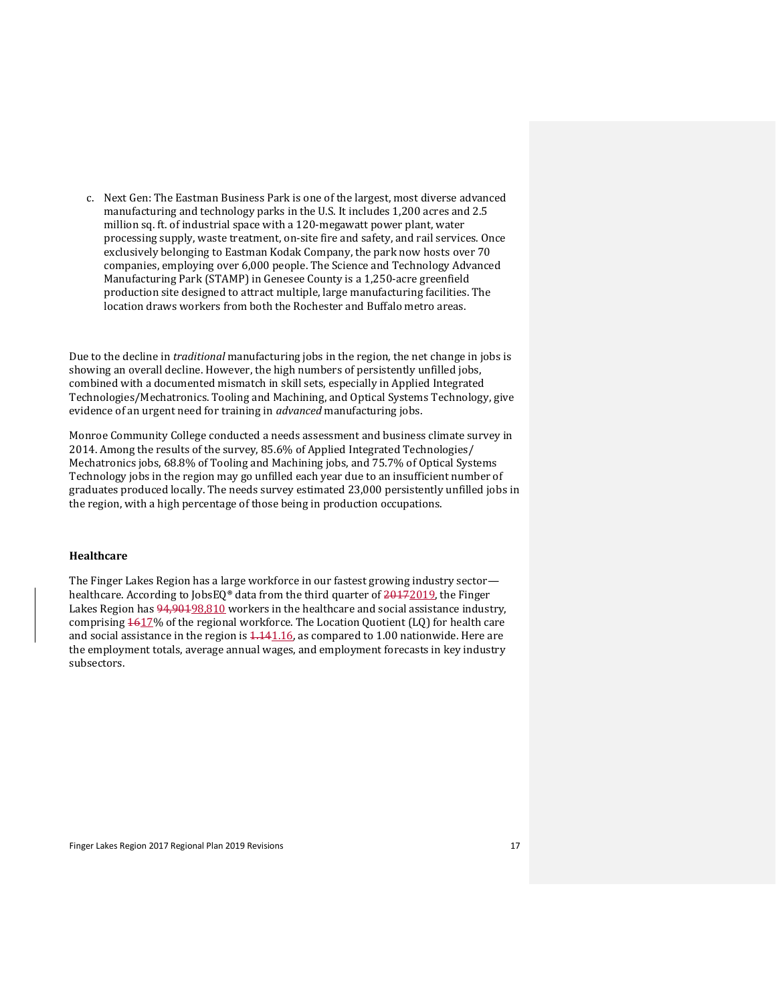c. Next Gen: The Eastman Business Park is one of the largest, most diverse advanced manufacturing and technology parks in the U.S. It includes 1,200 acres and 2.5 million sq. ft. of industrial space with a 120-megawatt power plant, water processing supply, waste treatment, on-site fire and safety, and rail services. Once exclusively belonging to Eastman Kodak Company, the park now hosts over 70 companies, employing over 6,000 people. The Science and Technology Advanced Manufacturing Park (STAMP) in Genesee County is a 1,250-acre greenfield production site designed to attract multiple, large manufacturing facilities. The location draws workers from both the Rochester and Buffalo metro areas.

Due to the decline in *traditional* manufacturing jobs in the region, the net change in jobs is showing an overall decline. However, the high numbers of persistently unfilled jobs, combined with a documented mismatch in skill sets, especially in Applied Integrated Technologies/Mechatronics. Tooling and Machining, and Optical Systems Technology, give evidence of an urgent need for training in *advanced* manufacturing jobs.

Monroe Community College conducted a needs assessment and business climate survey in 2014. Among the results of the survey, 85.6% of Applied Integrated Technologies/ Mechatronics jobs, 68.8% of Tooling and Machining jobs, and 75.7% of Optical Systems Technology jobs in the region may go unfilled each year due to an insufficient number of graduates produced locally. The needs survey estimated 23,000 persistently unfilled jobs in the region, with a high percentage of those being in production occupations.

# <span id="page-16-0"></span>**Healthcare**

The Finger Lakes Region has a large workforce in our fastest growing industry sector healthcare. According to JobsEQ® data from the third quarter of 20172019, the Finger Lakes Region has  $94,90198,810$  workers in the healthcare and social assistance industry, comprising  $1617\%$  of the regional workforce. The Location Quotient (LQ) for health care and social assistance in the region is  $4.141.16$ , as compared to 1.00 nationwide. Here are the employment totals, average annual wages, and employment forecasts in key industry subsectors.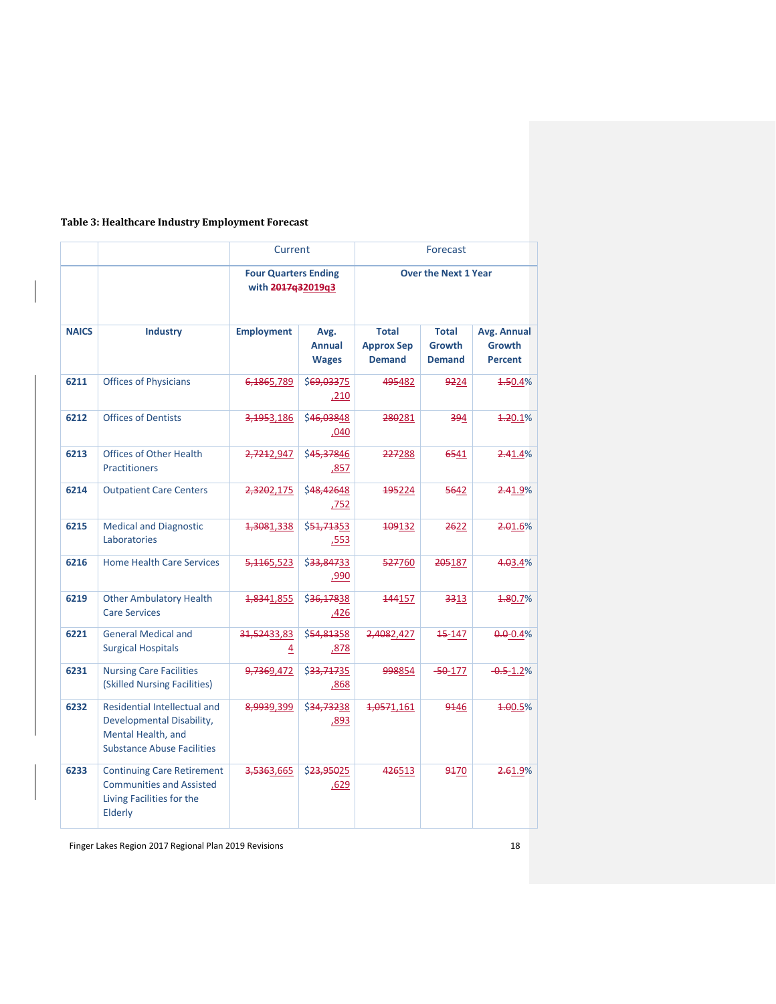# **Table 3: Healthcare Industry Employment Forecast**

|              |                                                                                                                             | Current<br>Forecast    |                                                  |                                                    |                                         |                                                |
|--------------|-----------------------------------------------------------------------------------------------------------------------------|------------------------|--------------------------------------------------|----------------------------------------------------|-----------------------------------------|------------------------------------------------|
|              |                                                                                                                             |                        | <b>Four Quarters Ending</b><br>with 2017q32019q3 |                                                    | <b>Over the Next 1 Year</b>             |                                                |
| <b>NAICS</b> | <b>Industry</b>                                                                                                             | <b>Employment</b>      | Avg.<br><b>Annual</b><br><b>Wages</b>            | <b>Total</b><br><b>Approx Sep</b><br><b>Demand</b> | Total<br><b>Growth</b><br><b>Demand</b> | Avg. Annual<br><b>Growth</b><br><b>Percent</b> |
| 6211         | <b>Offices of Physicians</b>                                                                                                | 6,1865,789             | \$69,03375<br>,210                               | 495482                                             | 9224                                    | <del>1.5</del> 0.4%                            |
| 6212         | <b>Offices of Dentists</b>                                                                                                  | 3,1953,186             | \$46,03848<br>,040                               | 280281                                             | 394                                     | <b>1.20.1%</b>                                 |
| 6213         | <b>Offices of Other Health</b><br><b>Practitioners</b>                                                                      | <del>2,721</del> 2,947 | \$45,37846<br>,857                               | 227288                                             | 6541                                    | 2.41.4%                                        |
| 6214         | <b>Outpatient Care Centers</b>                                                                                              | 2,3202,175             | \$48,42648<br>,752                               | 195224                                             | 5642                                    | 2.41.9%                                        |
| 6215         | <b>Medical and Diagnostic</b><br>Laboratories                                                                               | <del>1,308</del> 1,338 | \$ <del>51,713</del> 53<br>,553                  | 109132                                             | <del>26</del> 22                        | 2.01.6%                                        |
| 6216         | <b>Home Health Care Services</b>                                                                                            | 5, 1465, 523           | \$33,84733<br>,990                               | 527760                                             | 205187                                  | 4.03.4%                                        |
| 6219         | <b>Other Ambulatory Health</b><br><b>Care Services</b>                                                                      | <del>1,834</del> 1,855 | \$36,17838<br>,426                               | 144157                                             | 3313                                    | 4.80.7%                                        |
| 6221         | <b>General Medical and</b><br><b>Surgical Hospitals</b>                                                                     | 31,52433,83<br>4       | \$54,81358<br>,878                               | 2,4082,427                                         | <del>15</del> -147                      | $0.0 - 0.4\%$                                  |
| 6231         | <b>Nursing Care Facilities</b><br>(Skilled Nursing Facilities)                                                              | <del>9,736</del> 9,472 | \$33,71735<br><u>,868</u>                        | 998854                                             | $-50-177$                               | $-0.5 - 1.2%$                                  |
| 6232         | <b>Residential Intellectual and</b><br>Developmental Disability,<br>Mental Health, and<br><b>Substance Abuse Facilities</b> | 8,9939,399             | \$34,73238<br>,893                               | <del>1,057</del> 1,161                             | 9446                                    | <del>1.0</del> 0.5%                            |
| 6233         | <b>Continuing Care Retirement</b><br><b>Communities and Assisted</b><br>Living Facilities for the<br>Elderly                | 3,5363,665             | \$23,95025<br>.629                               | 426513                                             | 9470                                    | 2.61.9%                                        |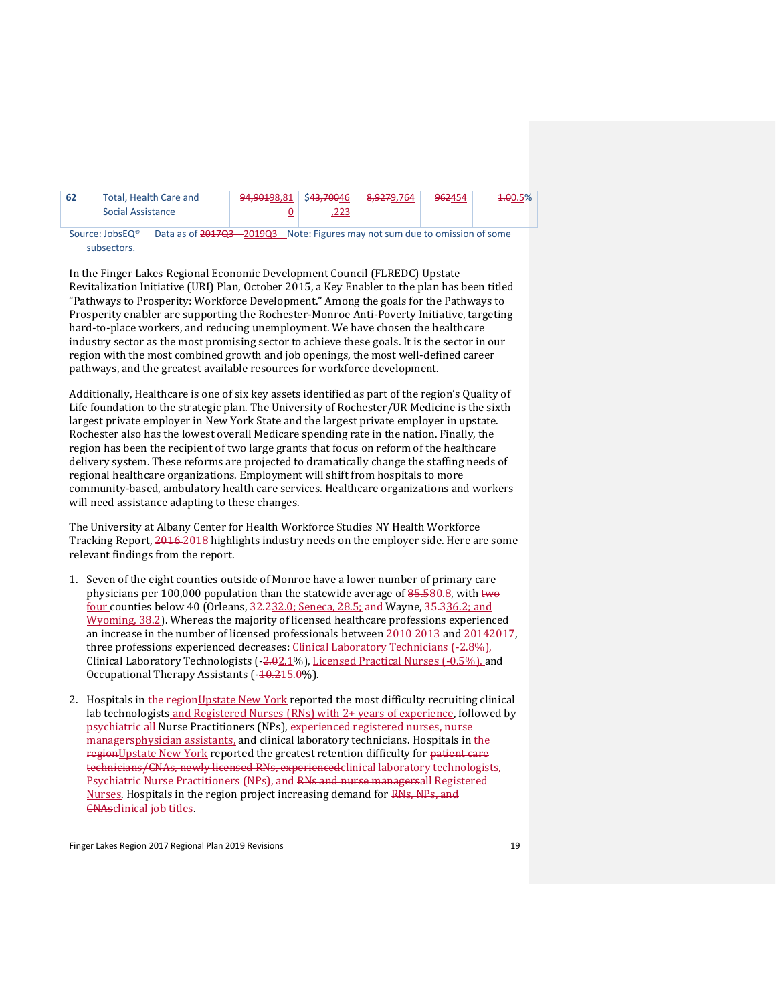| 62 | Total, Health Care and | 94,90198,81   \$4 <del>3,700</del> 46                                                    |     | <del>8,927</del> 9,764 | 962454 | <del>1.0</del> 0.5% |
|----|------------------------|------------------------------------------------------------------------------------------|-----|------------------------|--------|---------------------|
|    | Social Assistance      |                                                                                          | 223 |                        |        |                     |
|    |                        | <b>一个人的人,我们也不能在这里的人,我们也不能在这里的人,我们也不能在这里的人,我们也不能在这里的人,我们也不能在这里的人,我们也不能在这里的人,我们</b> 是我们的人, |     |                        |        |                     |

Source: JobsEQ<sup>®</sup> Data as of 2017Q3 -2019Q3 Note: Figures may not sum due to omission of some subsectors.

In the Finger Lakes Regional Economic Development Council (FLREDC) Upstate Revitalization Initiative (URI) Plan, October 2015, a Key Enabler to the plan has been titled "Pathways to Prosperity: Workforce Development." Among the goals for the Pathways to Prosperity enabler are supporting the Rochester-Monroe Anti-Poverty Initiative, targeting hard-to-place workers, and reducing unemployment. We have chosen the healthcare industry sector as the most promising sector to achieve these goals. It is the sector in our region with the most combined growth and job openings, the most well-defined career pathways, and the greatest available resources for workforce development.

Additionally, Healthcare is one of six key assets identified as part of the region's Quality of Life foundation to the strategic plan. The University of Rochester/UR Medicine is the sixth largest private employer in New York State and the largest private employer in upstate. Rochester also has the lowest overall Medicare spending rate in the nation. Finally, the region has been the recipient of two large grants that focus on reform of the healthcare delivery system. These reforms are projected to dramatically change the staffing needs of regional healthcare organizations. Employment will shift from hospitals to more community-based, ambulatory health care services. Healthcare organizations and workers will need assistance adapting to these changes.

The University at Albany Center for Health Workforce Studies NY Health Workforce Tracking Report, 2016 2018 highlights industry needs on the employer side. Here are some relevant findings from the report.

- 1. Seven of the eight counties outside of Monroe have a lower number of primary care physicians per 100,000 population than the statewide average of  $85.580.8$ , with two four counties below 40 (Orleans, 32.232.0; Seneca, 28.5; and Wayne, 35.336.2; and Wyoming, 38.2). Whereas the majority of licensed healthcare professions experienced an increase in the number of licensed professionals between 2010 2013 and 20142017, three professions experienced decreases: Clinical Laboratory Technicians (-2.8%), Clinical Laboratory Technologists (-2.02.1%), Licensed Practical Nurses (-0.5%), and Occupational Therapy Assistants (-10.215.0%).
- 2. Hospitals in the regionUpstate New York reported the most difficulty recruiting clinical lab technologists and Registered Nurses (RNs) with 2+ years of experience, followed by psychiatric all Nurse Practitioners (NPs), experienced registered nurses, nurse managersphysician assistants, and clinical laboratory technicians. Hospitals in the regionUpstate New York reported the greatest retention difficulty for patient care technicians/CNAs, newly licensed RNs, experiencedclinical laboratory technologists, Psychiatric Nurse Practitioners (NPs), and RNs and nurse managersall Registered Nurses. Hospitals in the region project increasing demand for RNs, NPs, and CNAsclinical job titles.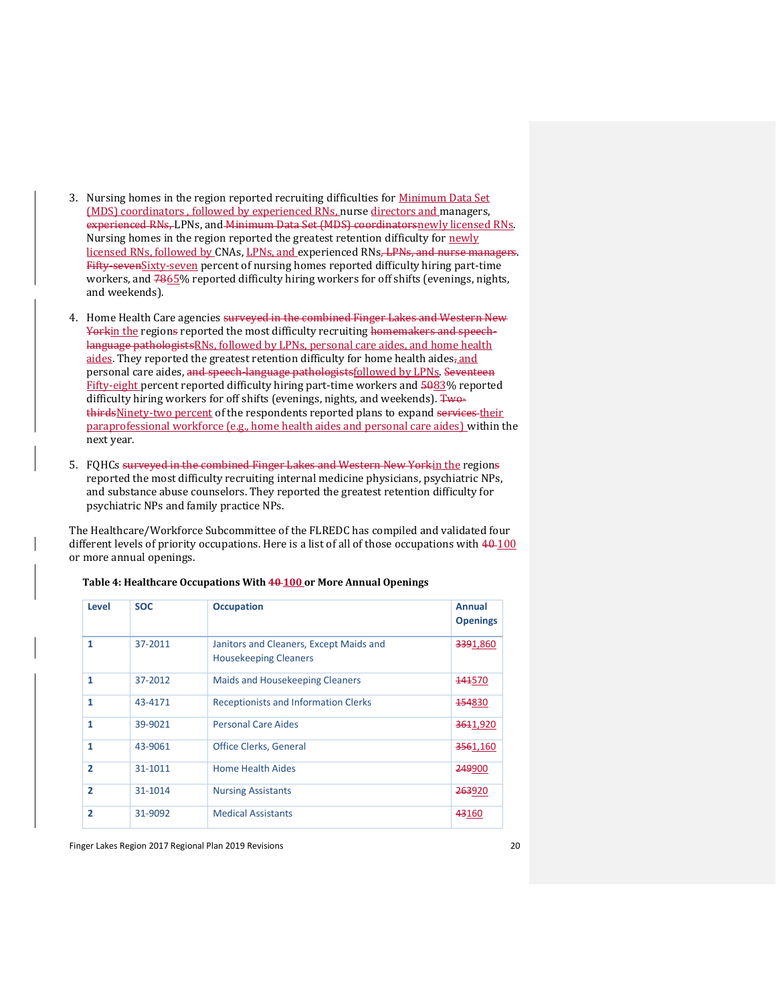- 3. Nursing homes in the region reported recruiting difficulties for Minimum Data Set (MDS) coordinators , followed by experienced RNs, nurse directors and managers, experienced RNs, LPNs, and Minimum Data Set (MDS) coordinatorsnewly licensed RNs. Nursing homes in the region reported the greatest retention difficulty for newly licensed RNs, followed by CNAs, LPNs, and experienced RNs, LPNs, and nurse managers. Fifty-seven Sixty-seven percent of nursing homes reported difficulty hiring part-time workers, and  $7865\%$  reported difficulty hiring workers for off shifts (evenings, nights, and weekends).
- 4. Home Health Care agencies surveyed in the combined Finger Lakes and Western New Yorkin the regions reported the most difficulty recruiting homemakers and speechlanguage pathologistsRNs, followed by LPNs, personal care aides, and home health aides. They reported the greatest retention difficulty for home health aides, and personal care aides, and speech-language pathologistsfollowed by LPNs. Seventeen Fifty-eight percent reported difficulty hiring part-time workers and 5083% reported difficulty hiring workers for off shifts (evenings, nights, and weekends). TwothirdsNinety-two percent of the respondents reported plans to expand services their paraprofessional workforce (e.g., home health aides and personal care aides) within the next year.
- 5. FQHCs surveyed in the combined Finger Lakes and Western New Yorkin the regions reported the most difficulty recruiting internal medicine physicians, psychiatric NPs, and substance abuse counselors. They reported the greatest retention difficulty for psychiatric NPs and family practice NPs.

The Healthcare/Workforce Subcommittee of the FLREDC has compiled and validated four different levels of priority occupations. Here is a list of all of those occupations with  $40-100$ or more annual openings.

| Level          | <b>SOC</b> | <b>Occupation</b>                                                       | <b>Annual</b><br><b>Openings</b> |
|----------------|------------|-------------------------------------------------------------------------|----------------------------------|
| 1              | 37-2011    | Janitors and Cleaners, Except Maids and<br><b>Housekeeping Cleaners</b> | 3391,860                         |
| 1              | 37-2012    | <b>Maids and Housekeeping Cleaners</b>                                  | <del>141</del> 570               |
| 1              | 43-4171    | <b>Receptionists and Information Clerks</b>                             | 454830                           |
| 1              | 39-9021    | <b>Personal Care Aides</b>                                              | 3611,920                         |
| 1              | 43-9061    | <b>Office Clerks, General</b>                                           | 3561,160                         |
| $\overline{2}$ | 31-1011    | <b>Home Health Aides</b>                                                | 249900                           |
| $\overline{2}$ | 31-1014    | <b>Nursing Assistants</b>                                               | 263920                           |
| $\overline{2}$ | 31-9092    | <b>Medical Assistants</b>                                               | 43160                            |

**Table 4: Healthcare Occupations With 40 100 or More Annual Openings**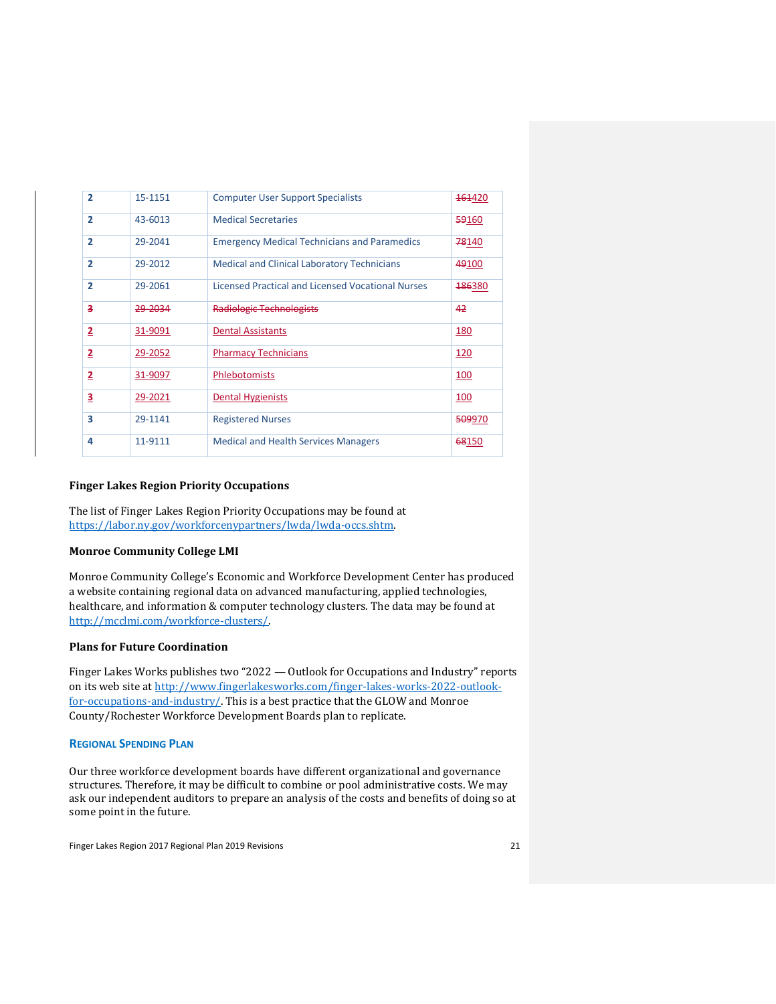| $\overline{2}$ | 15-1151 | <b>Computer User Support Specialists</b>            | <del>161</del> 420 |
|----------------|---------|-----------------------------------------------------|--------------------|
| $\overline{2}$ | 43-6013 | <b>Medical Secretaries</b>                          | 59160              |
| $\overline{2}$ | 29-2041 | <b>Emergency Medical Technicians and Paramedics</b> | 78140              |
| $\overline{2}$ | 29-2012 | <b>Medical and Clinical Laboratory Technicians</b>  | 49100              |
| $\overline{2}$ | 29-2061 | Licensed Practical and Licensed Vocational Nurses   | <b>186380</b>      |
| з              | 29-2034 | <b>Radiologic Technologists</b>                     | 42                 |
| 2              | 31-9091 | <b>Dental Assistants</b>                            | 180                |
| 2              | 29-2052 | <b>Pharmacy Technicians</b>                         | 120                |
| 2              | 31-9097 | <b>Phlebotomists</b>                                | 100                |
| 3              | 29-2021 | <b>Dental Hygienists</b>                            | 100                |
| 3              | 29-1141 | <b>Registered Nurses</b>                            | 509970             |
| 4              | 11-9111 | <b>Medical and Health Services Managers</b>         | 68150              |

# <span id="page-20-0"></span>**Finger Lakes Region Priority Occupations**

The list of Finger Lakes Region Priority Occupations may be found at [https://labor.ny.gov/workforcenypartners/lwda/lwda-occs.shtm.](https://labor.ny.gov/workforcenypartners/lwda/lwda-occs.shtm)

# <span id="page-20-1"></span>**Monroe Community College LMI**

Monroe Community College's Economic and Workforce Development Center has produced a website containing regional data on advanced manufacturing, applied technologies, healthcare, and information & computer technology clusters. The data may be found at [http://mcclmi.com/workforce-clusters/.](http://mcclmi.com/workforce-clusters/)

# <span id="page-20-2"></span>**Plans for Future Coordination**

Finger Lakes Works publishes two "2022 — Outlook for Occupations and Industry" reports on its web site a[t http://www.fingerlakesworks.com/finger-lakes-works-2022-outlook](http://www.fingerlakesworks.com/finger-lakes-works-2022-outlook-for-occupations-and-industry/)[for-occupations-and-industry/.](http://www.fingerlakesworks.com/finger-lakes-works-2022-outlook-for-occupations-and-industry/) This is a best practice that the GLOW and Monroe County/Rochester Workforce Development Boards plan to replicate.

# <span id="page-20-3"></span>**REGIONAL SPENDING PLAN**

Our three workforce development boards have different organizational and governance structures. Therefore, it may be difficult to combine or pool administrative costs. We may ask our independent auditors to prepare an analysis of the costs and benefits of doing so at some point in the future.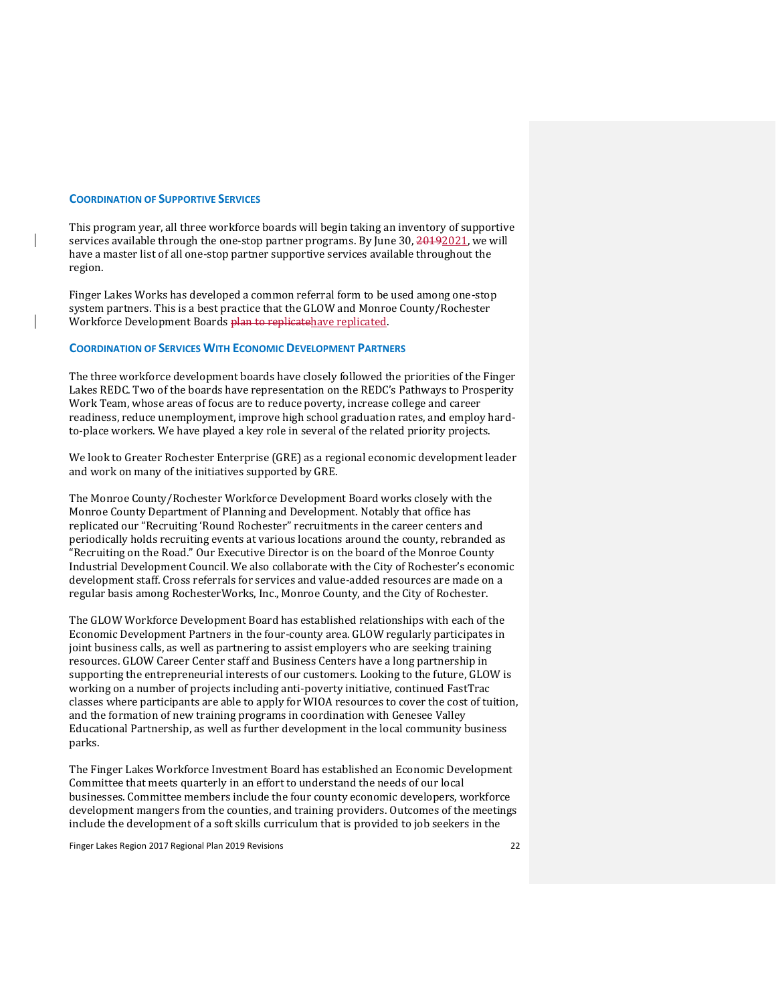#### <span id="page-21-0"></span>**COORDINATION OF SUPPORTIVE SERVICES**

This program year, all three workforce boards will begin taking an inventory of supportive services available through the one-stop partner programs. By June 30, 20192021, we will have a master list of all one-stop partner supportive services available throughout the region.

Finger Lakes Works has developed a common referral form to be used among one-stop system partners. This is a best practice that the GLOW and Monroe County/Rochester Workforce Development Boards plan to replicatehave replicated.

# <span id="page-21-1"></span>**COORDINATION OF SERVICES WITH ECONOMIC DEVELOPMENT PARTNERS**

The three workforce development boards have closely followed the priorities of the Finger Lakes REDC. Two of the boards have representation on the REDC's Pathways to Prosperity Work Team, whose areas of focus are to reduce poverty, increase college and career readiness, reduce unemployment, improve high school graduation rates, and employ hardto-place workers. We have played a key role in several of the related priority projects.

We look to Greater Rochester Enterprise (GRE) as a regional economic development leader and work on many of the initiatives supported by GRE.

The Monroe County/Rochester Workforce Development Board works closely with the Monroe County Department of Planning and Development. Notably that office has replicated our "Recruiting 'Round Rochester" recruitments in the career centers and periodically holds recruiting events at various locations around the county, rebranded as "Recruiting on the Road." Our Executive Director is on the board of the Monroe County Industrial Development Council. We also collaborate with the City of Rochester's economic development staff. Cross referrals for services and value-added resources are made on a regular basis among RochesterWorks, Inc., Monroe County, and the City of Rochester.

The GLOW Workforce Development Board has established relationships with each of the Economic Development Partners in the four-county area. GLOW regularly participates in joint business calls, as well as partnering to assist employers who are seeking training resources. GLOW Career Center staff and Business Centers have a long partnership in supporting the entrepreneurial interests of our customers. Looking to the future, GLOW is working on a number of projects including anti-poverty initiative, continued FastTrac classes where participants are able to apply for WIOA resources to cover the cost of tuition, and the formation of new training programs in coordination with Genesee Valley Educational Partnership, as well as further development in the local community business parks.

The Finger Lakes Workforce Investment Board has established an Economic Development Committee that meets quarterly in an effort to understand the needs of our local businesses. Committee members include the four county economic developers, workforce development mangers from the counties, and training providers. Outcomes of the meetings include the development of a soft skills curriculum that is provided to job seekers in the